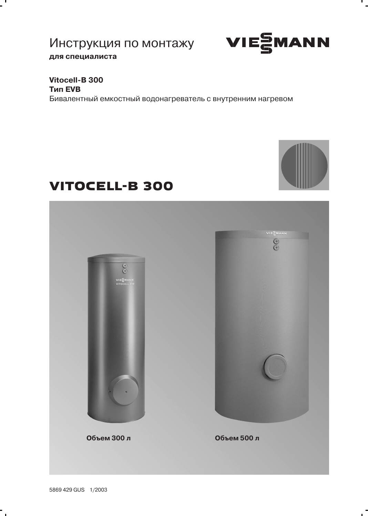# Инструкция по монтажу VIESMANN для специалиста



## Vitocell-B 300 **Тип EVB**

 $\mathbf{r}$ 

Бивалентный емкостный водонагреватель с внутренним нагревом



# **VITOCELL-B 300**



 $\ddot{\phantom{0}}$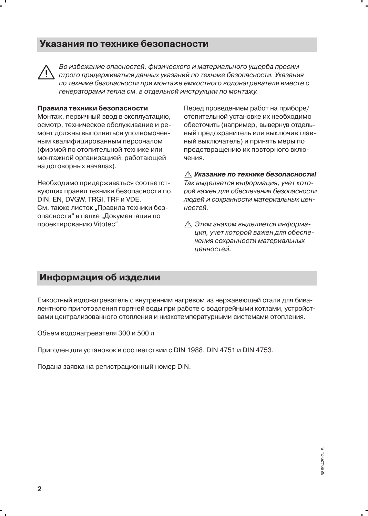## Указания по технике безопасности



Во избежание опасностей, физического и материального ушерба просим строго придерживаться данных указаний по технике безопасности. Указания по технике безопасности при монтаже емкостного водонагревателя вместе с генераторами тепла см. в отдельной инструкции по монтажу.

#### Правила техники безопасности

Монтаж, первичный ввод в эксплуатацию. осмотр, техническое обслуживание и ремонт должны выполняться уполномоченным квалифицированным персоналом (фирмой по отопительной технике или монтажной организацией, работающей на договорных началах).

Необходимо придерживаться соответствующих правил техники безопасности по DIN, EN, DVGW, TRGI, TRF и VDE. См. также листок "Правила техники безопасности" в папке "Документация по проектированию Vitotec".

Перед проведением работ на приборе/ отопительной установке их необходимо обесточить (например, вывернув отдельный предохранитель или выключив главный выключатель) и принять меры по предотвращению их повторного включения.

∧ Указание по технике безопасности! Так выделяется информация, учет которой важен для обеспечения безопасности людей и сохранности материальных ценностей.

∧ Этим знаком выделяется информация, учет которой важен для обеспечения сохранности материальных ценностей.

## Информация об изделии

Емкостный водонагреватель с внутренним нагревом из нержавеющей стали для бивалентного приготовления горячей воды при работе с водогрейными котлами, устройствами централизованного отопления и низкотемпературными системами отопления.

Объем водонагревателя 300 и 500 л

Пригоден для установок в соответствии с DIN 1988, DIN 4751 и DIN 4753.

Подана заявка на регистрационный номер DIN.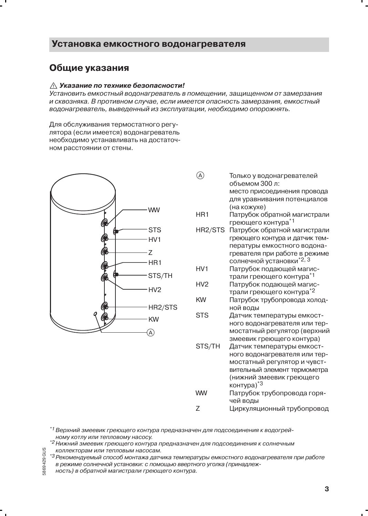#### Установка емкостного водонагревателя

### Общие указания

#### ∧ Указание по технике безопасности!

Установить емкостный водонагреватель в помещении, защищенном от замерзания и сквозняка. В противном случае, если имеется опасность замерзания, емкостный водонагреватель, выведенный из эксплуатации, необходимо опорожнять.

Для обслуживания термостатного регулятора (если имеется) волонагреватель необходимо устанавливать на достаточном расстоянии от стены.



- $\mathcal{A}$ Только у водонагревателей объемом 300 л. место присоединения провода для уравнивания потенциалов (на кожухе)
- HR<sub>1</sub> Патрубок обратной магистрали греющего контура\*1
- HR2/STS Патрубок обратной магистрали греющего контура и датчик температуры емкостного водонагревателя при работе в режиме солнечной установки\*2, 3
- $HV1$ Патрубок подающей магистрали греющего контура\*1
- HV<sub>2</sub> Патрубок подающей магистрали греющего контура\*2
- **KW** Патрубок трубопровода холодной воды
- **STS** Датчик температуры емкостного водонагревателя или термостатный регулятор (верхний змеевик греющего контура)
- STS/TH Датчик температуры емкостного водонагревателя или термостатный регулятор и чувствительный элемент термометра (нижний змеевик греющего контура)\*3
- **WW** Патрубок трубопровода горячей воды  $\overline{z}$ 
	- Циркуляционный трубопровод
- $^{\ast}1$ Верхний змеевик греющего контура предназначен для подсоединения к водогрейному котлу или тепловому насосу.
- \*<sup>2</sup> Нижний змеевик греющего контура предназначен для подсоединения к солнечным коллекторам или тепловым насосам.
- GUS \*3 Рекомендуемый способ монтажа датчика температуры емкостного водонагревателя при работе 624 6986 в режиме солнечной установки: с помощью ввертного уголка (принадлеж
	- ность) в обратной магистрали греющего контура.

 $\mathbf{R}$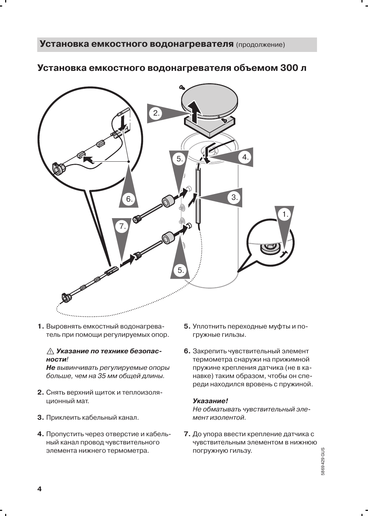## Установка емкостного водонагревателя объемом 300 л



1. Выровнять емкостный водонагреватель при помощи регулируемых опор.

#### ∆ Указание по технике безопасности!

Не вывинчивать регулируемые опоры больше, чем на 35 мм общей длины.

- 2. Снять верхний щиток и теплоизоляционный мат.
- 3. Приклеить кабельный канал.
- 4. Пропустить через отверстие и кабельный канал провод чувствительного элемента нижнего термометра.
- 5. Уплотнить переходные муфты и погружные гильзы.
- 6. Закрепить чувствительный элемент термометра снаружи на прижимной пружине крепления датчика (не в канавке) таким образом, чтобы он спереди находился вровень с пружиной.

#### Указание!

Не обматывать чувствительный элемент изолентой.

7. До упора ввести крепление датчика с чувствительным элементом в нижнюю погружную гильзу.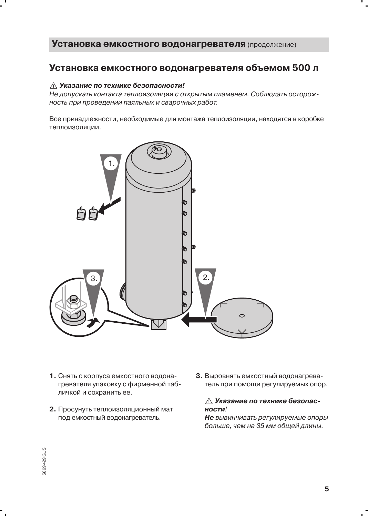## Установка емкостного водонагревателя объемом 500 л

#### ∆ Указание по технике безопасности!

Не допускать контакта теплоизоляции с открытым пламенем. Соблюдать осторожность при проведении паяльных и сварочных работ.

Все принадлежности, необходимые для монтажа теплоизоляции, находятся в коробке теплоизоляции.



- 1. Снять с корпуса емкостного водонагревателя упаковку с фирменной табличкой и сохранить ее.
- 2. Просунуть теплоизоляционный мат под емкостный водонагреватель.
- 3. Выровнять емкостный водонагреватель при помощи регулируемых опор.

#### ∧ Указание по технике безопасности!

Не вывинчивать регулируемые опоры больше, чем на 35 мм общей длины.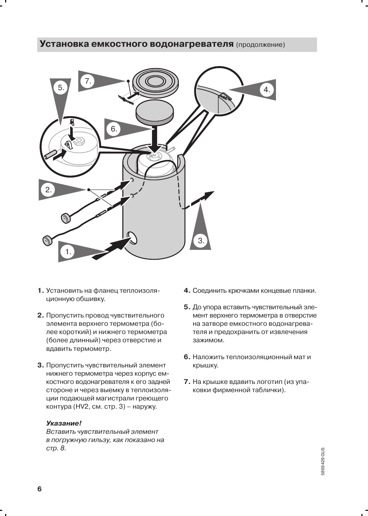

- 1. Установить на фланец теплоизоляционную обшивку.
- 2. Пропустить провод чувствительного элемента верхнего термометра (более короткий) и нижнего термометра (более длинный) через отверстие и вдавить термометр.
- 3. Пропустить чувствительный элемент нижнего термометра через корпус емкостного водонагревателя к его задней стороне и через выемку в теплоизоляции подающей магистрали греющего контура (HV2, см. стр. 3) - наружу.

#### Указание!

Вставить чувствительный элемент в погружную гильзу, как показано на стр. 8.

- 4. Соединить крючками концевые планки.
- 5. До упора вставить чувствительный элемент верхнего термометра в отверстие на затворе емкостного водонагревателя и предохранить от извлечения зажимом.
- 6. Наложить теплоизоляционный мат и крышку.
- 7. На крышке вдавить логотип (из упаковки фирменной таблички).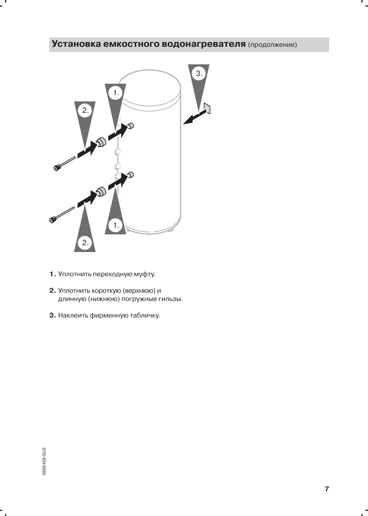

- 1. Уплотнить переходную муфту.
- 2. Уплотнить короткую (верхнюю) и длинную (нижнюю) погружные гильзы.
- 3. Наклеить фирменную табличку.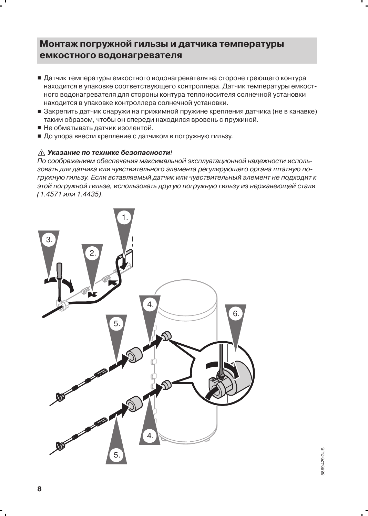## Монтаж погружной гильзы и датчика температуры емкостного водонагревателя

- Датчик температуры емкостного водонагревателя на стороне греющего контура находится в упаковке соответствующего контроллера. Датчик температуры емкостного водонагревателя для стороны контура теплоносителя солнечной установки находится в упаковке контроллера солнечной установки.
- Закрепить датчик снаружи на прижимной пружине крепления датчика (не в канавке) таким образом, чтобы он спереди находился вровень с пружиной.
- Не обматывать датчик изолентой.
- До упора ввести крепление с датчиком в погружную гильзу.

#### ∧ Указание по технике безопасности!

По соображениям обеспечения максимальной эксплуатационной надежности использовать для датчика или чувствительного элемента регулирующего органа штатную погружную гильзу. Если вставляемый датчик или чувствительный элемент не подходит к этой погружной гильзе, использовать другую погружную гильзу из нержавеющей стали (1.4571 или 1.4435).

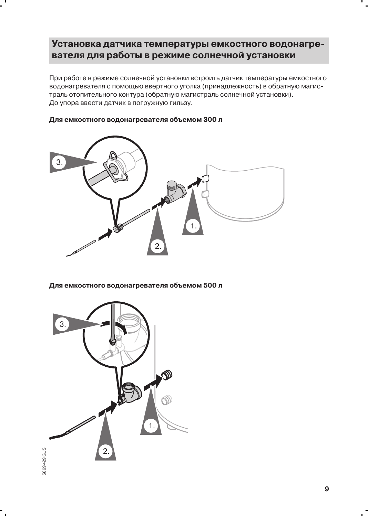## Установка датчика температуры емкостного водонагревателя для работы в режиме солнечной установки

При работе в режиме солнечной установки встроить датчик температуры емкостного водонагревателя с помощью ввертного уголка (принадлежность) в обратную магистраль отопительного контура (обратную магистраль солнечной установки). До упора ввести датчик в погружную гильзу.

# З  $\overline{2}$ .

#### Для емкостного водонагревателя объемом 300 л

Для емкостного водонагревателя объемом 500 л

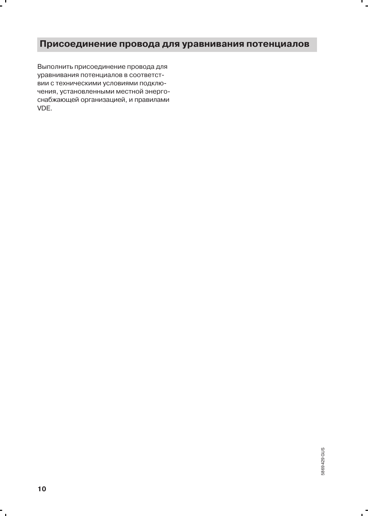## Присоединение провода для уравнивания потенциалов

Выполнить присоединение провода для уравнивания потенциалов в соответствии с техническими условиями подключения, установленными местной энергоснабжающей организацией, и правилами VDE.

 $\overline{ }$ 

п.

 $\sim$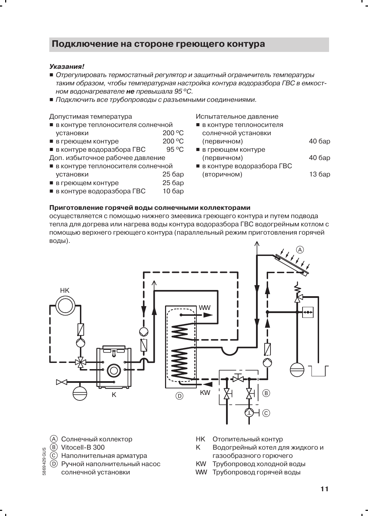## Подключение на стороне греющего контура

#### Указания!

- Отрегулировать термостатный регулятор и защитный ограничитель температуры таким образом, чтобы температурная настройка контура водоразбора ГВС в емкостном водонагревателе не превышала 95°С.
- Подключить все трубопроводы с разъемными соединениями.

#### Допустимая температура

- в контуре теплоносителя солнечной
- 200 °C установки
- 200 °C ■ в греющем контуре 95 °C
- в контуре водоразбора ГВС
- Доп. избыточное рабочее давление
- в контуре теплоносителя солнечной
- установки 25 бар
- в греющем контуре 25 <sub>бар</sub>
- в контуре водоразбора ГВС  $10$  бар

Испытательное давление

- в контуре теплоносителя солнечной установки (первичном)
- в греющем контуре **40 бар** (первичном)

**40 бар** 

■ в контуре водоразбора ГВС 13 бар (вторичном)

#### Приготовление горячей воды солнечными коллекторами

осуществляется с помощью нижнего змеевика греющего контура и путем подвода тепла для догрева или нагрева воды контура водоразбора ГВС водогрейным котлом с помощью верхнего греющего контура (параллельный режим приготовления горячей воды).



- (A) Солнечный коллектор
- (B) Vitocell-B 300

5869429 GUS

- (C) Наполнительная арматура
- (D) Ручной наполнительный насос
	- солнечной установки
- **HK** Отопительный контур
- K Водогрейный котел для жидкого и газообразного горючего
- **KW** Трубопровод холодной воды
- WW Трубопровод горячей воды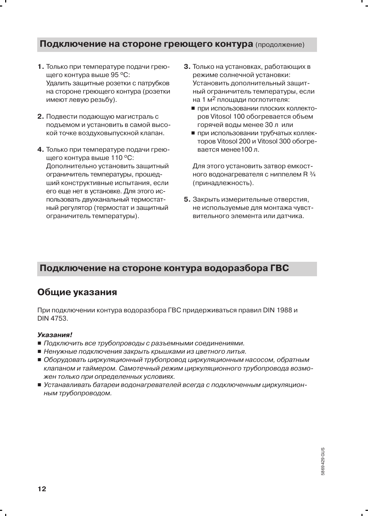#### Подключение на стороне греющего контура (продолжение)

- 1. Только при температуре подачи греющего контура выше 95 °С: Удалить защитные розетки с патрубков на стороне греющего контура (розетки имеют левую резьбу).
- 2. Подвести подающую магистраль с подъемом и установить в самой высокой точке воздуховыпускной клапан.
- 4. Только при температуре подачи греющего контура выше 110 °С: Дополнительно установить защитный ограничитель температуры, прошедший конструктивные испытания, если его еще нет в установке. Для этого использовать двухканальный термостатный регулятор (термостат и защитный ограничитель температуры).
- 3. Только на установках, работающих в режиме солнечной установки: Установить дополнительный защитный ограничитель температуры, если на 1 м<sup>2</sup> площади поглотителя:
	- при использовании плоских коллекторов Vitosol 100 обогревается объем горячей воды менее 30 л или
	- при использовании трубчатых коллекторов Vitosol 200 и Vitosol 300 обогревается менее 100 л.

Для этого установить затвор емкостного водонагревателя с ниппелем R 3/4 (принадлежность).

5. Закрыть измерительные отверстия. не используемые для монтажа чувствительного элемента или датчика.

## Подключение на стороне контура водоразбора ГВС

## Общие указания

При подключении контура водоразбора ГВС придерживаться правил DIN 1988 и DIN 4753.

#### Указания!

- Подключить все трубопроводы с разъемными соединениями.
- Ненужные подключения закрыть крышками из цветного литья.
- Оборудовать циркуляционный трубопровод циркуляционным насосом, обратным клапаном и таймером. Самотечный режим циркуляционного трубопровода возможен только при определенных условиях.
- Устанавливать батареи водонагревателей всегда с подключенным циркуляционным трубопроводом.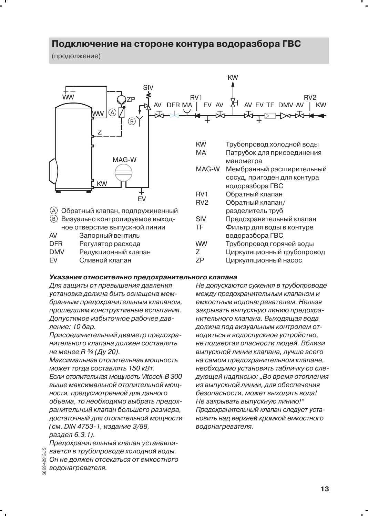### Подключение на стороне контура водоразбора ГВС

(продолжение)



**DMV** Редукционный клапан

**FV** Сливной клапан

- Z Циркуляционный трубопровод
- 7P Циркуляционный насос

#### Указания относительно предохранительного клапана

Для защиты от превышения давления установка должна быть оснащена мембранным предохранительным клапаном, прошедшим конструктивные испытания. Допустимое избыточное рабочее давление: 10 бар.

Присоединительный диаметр предохранительного клапана должен составлять не менее R 3/4 (Ду 20).

Максимальная отопительная мощность может тогда составлять 150 кВт.

Если отопительная мошность Vitocell-В 300 выше максимальной отопительной мошности, предусмотренной для данного объема, то необходимо выбрать предохранительный клапан большего размера, достаточный для отопительной мощности (см. DIN 4753-1, излание 3/88. раздел 6.3.1).

Предохранительный клапан устанавливается в трубопроводе холодной воды.

- Он не должен отсекаться от емкостного
- 869429 водонагревателя.

Не допускаются сужения в трубопроводе между предохранительным клапаном и емкостным водонагревателем. Нельзя закрывать выпускную линию предохранительного клапана. Выходящая вода должна под визуальным контролем отводиться в водоспускное устройство. не подвергая опасности людей. Вблизи выпускной линии клапана, лучше всего на самом предохранительном клапане, необходимо установить табличку со следующей надписью: "Во время отопления из выпускной линии, для обеспечения безопасности, может выходить вода! Не закрывать выпускную линию!" Предохранительный клапан следует установить над верхней кромкой емкостного водонагревателя.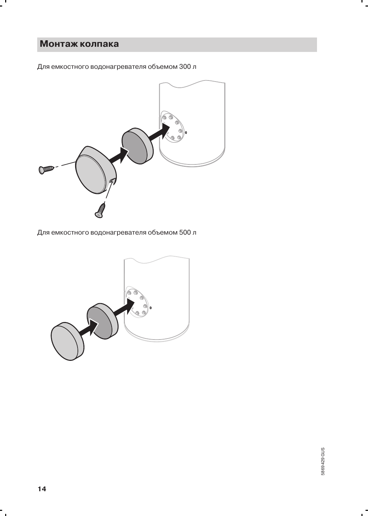## Монтаж колпака

-

Для емкостного водонагревателя объемом 300 л



Для емкостного водонагревателя объемом 500 л

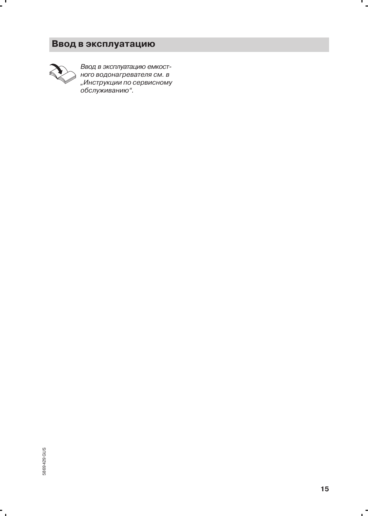## Ввод в эксплуатацию



 $\overline{a}$ 

Ввод в эксплуатацию емкост-<br>ного водонагревателя см. в пого водопагрователя ом. в<br>"Инструкции по сервисному<br>обслуживанию".

۰.

 $\mathbf{I}$